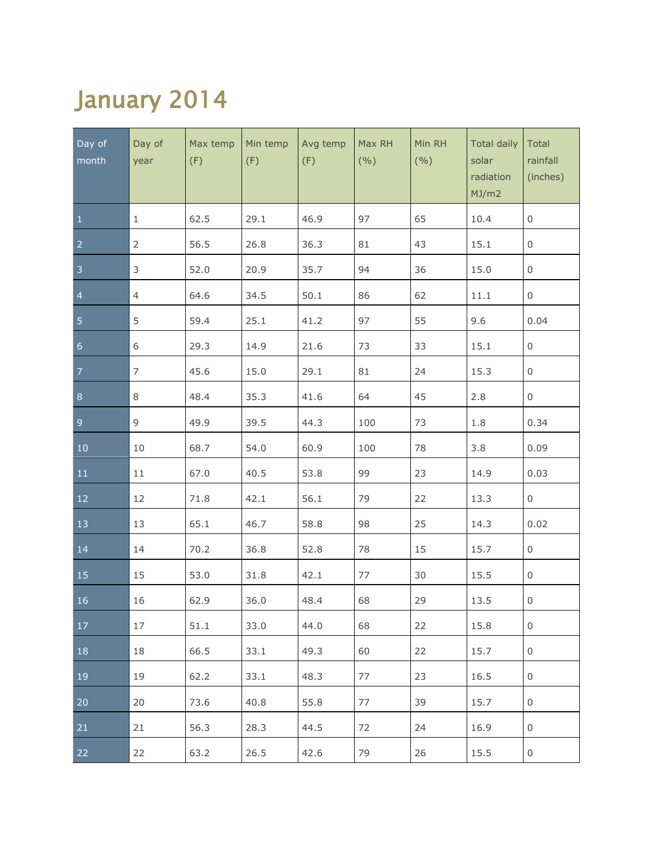## January 2014

| Day of<br>month | Day of<br>year | Max temp<br>(F) | Min temp<br>(F) | Avg temp<br>(F) | Max RH<br>(9/0) | Min RH<br>(9/0) | <b>Total daily</b><br>solar<br>radiation<br>MJ/m2 | Total<br>rainfall<br>(inches) |
|-----------------|----------------|-----------------|-----------------|-----------------|-----------------|-----------------|---------------------------------------------------|-------------------------------|
| $\mathbf{1}$    | $1\,$          | 62.5            | 29.1            | 46.9            | 97              | 65              | 10.4                                              | $\mathsf{O}\xspace$           |
| $\overline{2}$  | $\overline{2}$ | 56.5            | 26.8            | 36.3            | 81              | 43              | 15.1                                              | $\mathsf{O}\xspace$           |
| $\overline{3}$  | $\mathsf 3$    | 52.0            | 20.9            | 35.7            | 94              | 36              | 15.0                                              | 0                             |
| $\overline{4}$  | $\overline{4}$ | 64.6            | 34.5            | 50.1            | 86              | 62              | 11.1                                              | $\boldsymbol{0}$              |
| $\overline{5}$  | 5              | 59.4            | 25.1            | 41.2            | 97              | 55              | 9.6                                               | 0.04                          |
| $6\phantom{a}$  | $\,$ 6 $\,$    | 29.3            | 14.9            | 21.6            | 73              | 33              | 15.1                                              | $\mathsf{O}\xspace$           |
| $\overline{7}$  | $\overline{7}$ | 45.6            | 15.0            | 29.1            | 81              | 24              | 15.3                                              | $\boldsymbol{0}$              |
| $\,8\,$         | 8              | 48.4            | 35.3            | 41.6            | 64              | 45              | 2.8                                               | 0                             |
| $\overline{9}$  | 9              | 49.9            | 39.5            | 44.3            | 100             | 73              | 1.8                                               | 0.34                          |
| $10\,$          | 10             | 68.7            | 54.0            | 60.9            | 100             | 78              | 3.8                                               | 0.09                          |
| $11\,$          | 11             | 67.0            | 40.5            | 53.8            | 99              | 23              | 14.9                                              | 0.03                          |
| 12              | 12             | 71.8            | 42.1            | 56.1            | 79              | 22              | 13.3                                              | $\mathsf{O}$                  |
| 13              | 13             | 65.1            | 46.7            | 58.8            | 98              | 25              | 14.3                                              | 0.02                          |
| 14              | 14             | 70.2            | 36.8            | 52.8            | 78              | 15              | 15.7                                              | $\mathsf{O}$                  |
| 15              | 15             | 53.0            | 31.8            | 42.1            | 77              | 30              | 15.5                                              | $\mathsf{O}$                  |
| 16              | 16             | 62.9            | 36.0            | 48.4            | 68              | 29              | 13.5                                              | $\mathsf{O}\xspace$           |
| 17              | 17             | 51.1            | 33.0            | 44.0            | 68              | 22              | 15.8                                              | 0                             |
| 18              | 18             | 66.5            | 33.1            | 49.3            | 60              | 22              | 15.7                                              | 0                             |
| 19              | 19             | 62.2            | 33.1            | 48.3            | 77              | 23              | 16.5                                              | $\,0\,$                       |
| 20              | 20             | 73.6            | 40.8            | 55.8            | 77              | 39              | 15.7                                              | $\,0\,$                       |
| 21              | 21             | 56.3            | 28.3            | 44.5            | 72              | 24              | 16.9                                              | 0                             |
| 22              | 22             | 63.2            | 26.5            | 42.6            | 79              | 26              | 15.5                                              | $\,0\,$                       |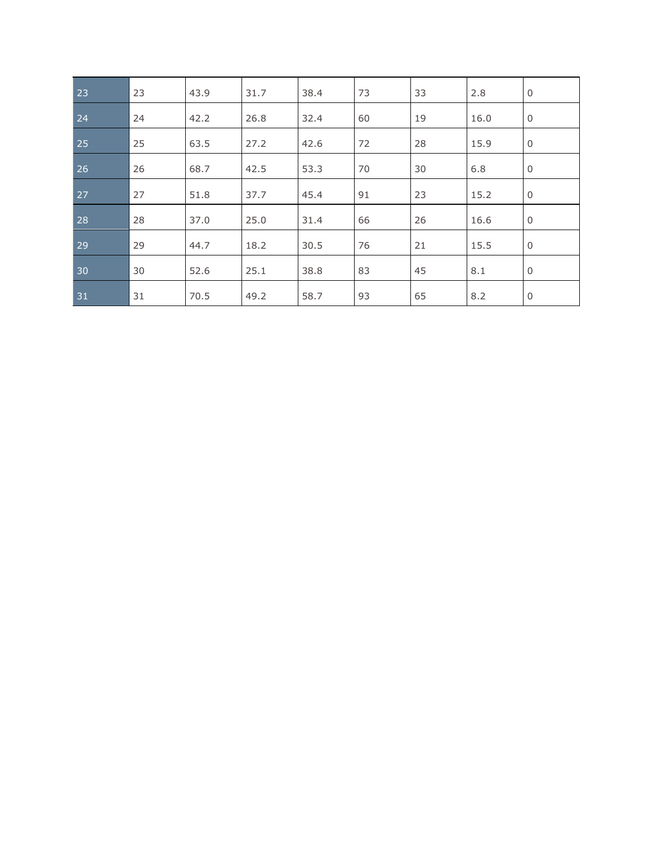| 23 | 23 | 43.9 | 31.7 | 38.4 | 73 | 33 | 2.8  | $\mathbf 0$    |
|----|----|------|------|------|----|----|------|----------------|
| 24 | 24 | 42.2 | 26.8 | 32.4 | 60 | 19 | 16.0 | $\mathbf 0$    |
| 25 | 25 | 63.5 | 27.2 | 42.6 | 72 | 28 | 15.9 | $\overline{0}$ |
| 26 | 26 | 68.7 | 42.5 | 53.3 | 70 | 30 | 6.8  | $\mathbf 0$    |
| 27 | 27 | 51.8 | 37.7 | 45.4 | 91 | 23 | 15.2 | $\mathbf 0$    |
| 28 | 28 | 37.0 | 25.0 | 31.4 | 66 | 26 | 16.6 | $\mathbf 0$    |
| 29 | 29 | 44.7 | 18.2 | 30.5 | 76 | 21 | 15.5 | $\mathbf 0$    |
| 30 | 30 | 52.6 | 25.1 | 38.8 | 83 | 45 | 8.1  | $\mathbf 0$    |
| 31 | 31 | 70.5 | 49.2 | 58.7 | 93 | 65 | 8.2  | 0              |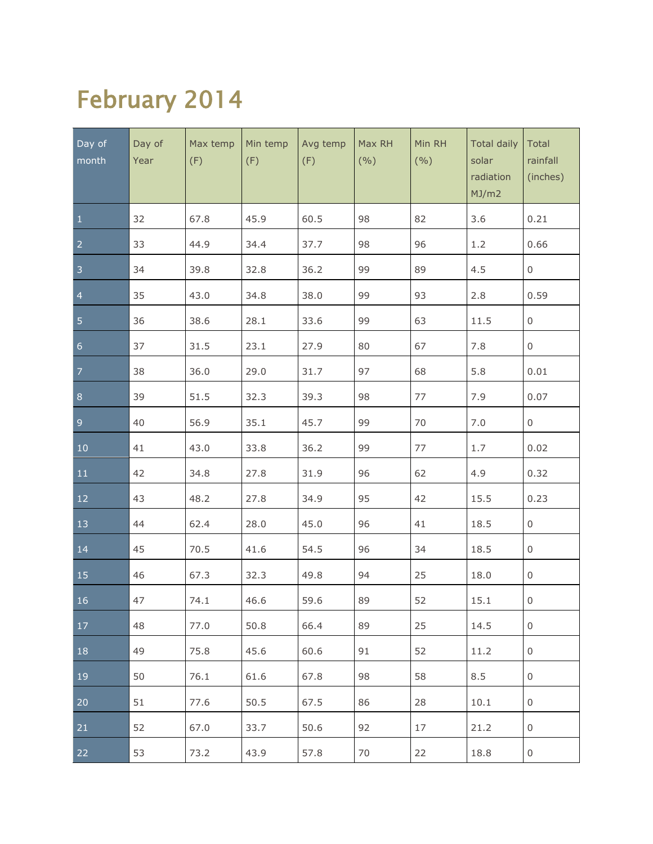## February 2014

| Day of<br>month | Day of<br>Year | Max temp<br>(F) | Min temp<br>(F) | Avg temp<br>(F) | Max RH<br>(9/0) | Min RH<br>(9/0) | <b>Total daily</b><br>solar<br>radiation<br>MJ/m2 | Total<br>rainfall<br>(inches) |
|-----------------|----------------|-----------------|-----------------|-----------------|-----------------|-----------------|---------------------------------------------------|-------------------------------|
| $\mathbf{1}$    | 32             | 67.8            | 45.9            | 60.5            | 98              | 82              | 3.6                                               | 0.21                          |
| $\overline{2}$  | 33             | 44.9            | 34.4            | 37.7            | 98              | 96              | 1.2                                               | 0.66                          |
| $\overline{3}$  | 34             | 39.8            | 32.8            | 36.2            | 99              | 89              | 4.5                                               | $\mathsf{O}\xspace$           |
| $\overline{4}$  | 35             | 43.0            | 34.8            | 38.0            | 99              | 93              | 2.8                                               | 0.59                          |
| 5               | 36             | 38.6            | 28.1            | 33.6            | 99              | 63              | 11.5                                              | $\mathsf{O}\xspace$           |
| $\overline{6}$  | 37             | 31.5            | 23.1            | 27.9            | 80              | 67              | 7.8                                               | $\mathsf{O}\xspace$           |
| $\overline{7}$  | 38             | 36.0            | 29.0            | 31.7            | 97              | 68              | 5.8                                               | 0.01                          |
| $\bf 8$         | 39             | 51.5            | 32.3            | 39.3            | 98              | 77              | 7.9                                               | 0.07                          |
| $\overline{9}$  | 40             | 56.9            | 35.1            | 45.7            | 99              | 70              | 7.0                                               | $\mathsf{O}\xspace$           |
| $10\,$          | 41             | 43.0            | 33.8            | 36.2            | 99              | 77              | 1.7                                               | 0.02                          |
| 11              | 42             | 34.8            | 27.8            | 31.9            | 96              | 62              | 4.9                                               | 0.32                          |
| 12              | 43             | 48.2            | 27.8            | 34.9            | 95              | 42              | 15.5                                              | 0.23                          |
| 13              | 44             | 62.4            | 28.0            | 45.0            | 96              | 41              | 18.5                                              | $\mathsf{O}\xspace$           |
| 14              | 45             | 70.5            | 41.6            | 54.5            | 96              | 34              | 18.5                                              | $\mathsf{O}$                  |
| 15              | 46             | 67.3            | 32.3            | 49.8            | 94              | 25              | 18.0                                              | $\mathsf{O}$                  |
| 16              | 47             | 74.1            | 46.6            | 59.6            | 89              | 52              | 15.1                                              | $\mathsf{O}\xspace$           |
| 17              | 48             | 77.0            | 50.8            | 66.4            | 89              | 25              | 14.5                                              | $\boldsymbol{0}$              |
| 18              | 49             | 75.8            | 45.6            | 60.6            | 91              | 52              | 11.2                                              | $\,0\,$                       |
| 19              | 50             | 76.1            | 61.6            | 67.8            | 98              | 58              | 8.5                                               | 0                             |
| 20              | 51             | 77.6            | 50.5            | 67.5            | 86              | 28              | 10.1                                              | $\boldsymbol{0}$              |
| 21              | 52             | 67.0            | 33.7            | 50.6            | 92              | 17              | 21.2                                              | $\mathbf 0$                   |
| 22              | 53             | 73.2            | 43.9            | 57.8            | 70              | 22              | 18.8                                              | $\mathbf 0$                   |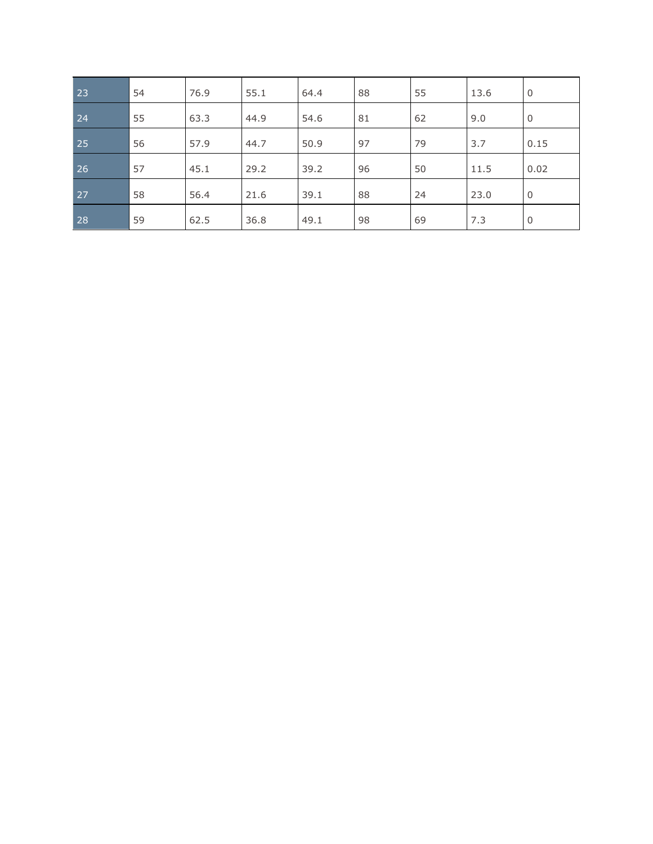| 23        | 54 | 76.9 | 55.1 | 64.4 | 88 | 55 | 13.6 | $\mathbf 0$    |
|-----------|----|------|------|------|----|----|------|----------------|
| 24        | 55 | 63.3 | 44.9 | 54.6 | 81 | 62 | 9.0  | 0              |
| 25        | 56 | 57.9 | 44.7 | 50.9 | 97 | 79 | 3.7  | 0.15           |
| 26        | 57 | 45.1 | 29.2 | 39.2 | 96 | 50 | 11.5 | 0.02           |
| 27        | 58 | 56.4 | 21.6 | 39.1 | 88 | 24 | 23.0 | $\overline{0}$ |
| <b>28</b> | 59 | 62.5 | 36.8 | 49.1 | 98 | 69 | 7.3  | $\mathbf 0$    |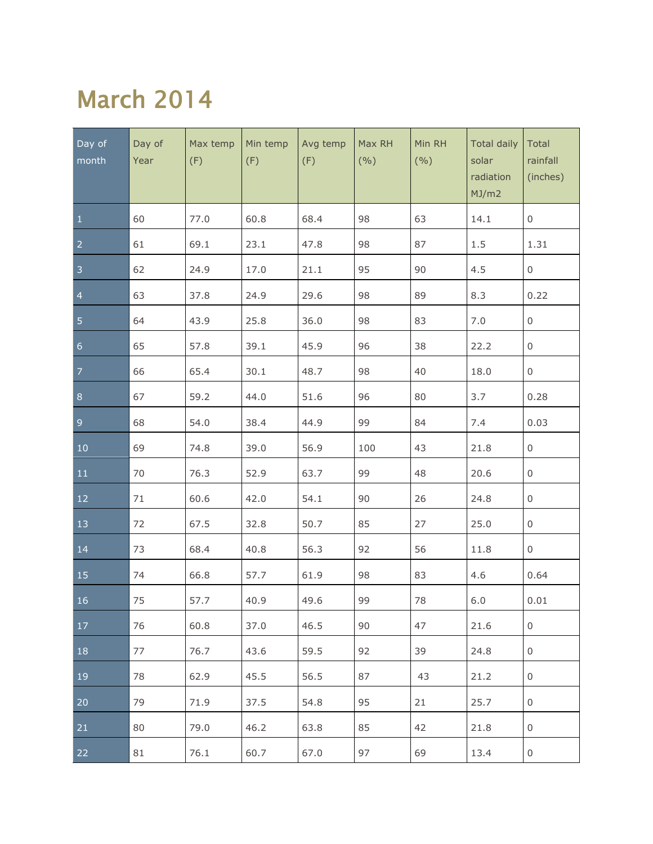### March 2014

| Day of<br>month | Day of<br>Year | Max temp<br>(F) | Min temp<br>(F) | Avg temp<br>(F) | Max RH<br>(9/0) | Min RH<br>(9/0) | <b>Total daily</b><br>solar<br>radiation<br>MJ/m2 | Total<br>rainfall<br>(inches) |
|-----------------|----------------|-----------------|-----------------|-----------------|-----------------|-----------------|---------------------------------------------------|-------------------------------|
| $\mathbf{1}$    | 60             | 77.0            | 60.8            | 68.4            | 98              | 63              | 14.1                                              | $\boldsymbol{0}$              |
| $\overline{a}$  | 61             | 69.1            | 23.1            | 47.8            | 98              | 87              | 1.5                                               | 1.31                          |
| $\overline{3}$  | 62             | 24.9            | 17.0            | 21.1            | 95              | 90              | 4.5                                               | 0                             |
| $\overline{4}$  | 63             | 37.8            | 24.9            | 29.6            | 98              | 89              | 8.3                                               | 0.22                          |
| 5               | 64             | 43.9            | 25.8            | 36.0            | 98              | 83              | 7.0                                               | $\mathsf{O}\xspace$           |
| $\overline{6}$  | 65             | 57.8            | 39.1            | 45.9            | 96              | 38              | 22.2                                              | 0                             |
| $\overline{7}$  | 66             | 65.4            | 30.1            | 48.7            | 98              | 40              | 18.0                                              | $\boldsymbol{0}$              |
| $\bf 8$         | 67             | 59.2            | 44.0            | 51.6            | 96              | 80              | 3.7                                               | 0.28                          |
| $\overline{9}$  | 68             | 54.0            | 38.4            | 44.9            | 99              | 84              | 7.4                                               | 0.03                          |
| $10\,$          | 69             | 74.8            | 39.0            | 56.9            | 100             | 43              | 21.8                                              | $\mathsf{O}$                  |
| 11              | 70             | 76.3            | 52.9            | 63.7            | 99              | 48              | 20.6                                              | $\boldsymbol{0}$              |
| 12              | 71             | 60.6            | 42.0            | 54.1            | 90              | 26              | 24.8                                              | $\boldsymbol{0}$              |
| 13              | 72             | 67.5            | 32.8            | 50.7            | 85              | 27              | 25.0                                              | $\mathsf{O}$                  |
| 14              | 73             | 68.4            | 40.8            | 56.3            | 92              | 56              | 11.8                                              | $\mathsf{O}$                  |
| 15              | 74             | 66.8            | 57.7            | 61.9            | 98              | 83              | 4.6                                               | 0.64                          |
| 16              | 75             | 57.7            | 40.9            | 49.6            | 99              | 78              | $6.0$                                             | 0.01                          |
| 17              | 76             | 60.8            | 37.0            | 46.5            | 90              | 47              | 21.6                                              | 0                             |
| 18              | 77             | 76.7            | 43.6            | 59.5            | 92              | 39              | 24.8                                              | $\boldsymbol{0}$              |
| 19              | 78             | 62.9            | 45.5            | 56.5            | 87              | 43              | 21.2                                              | $\boldsymbol{0}$              |
| 20              | 79             | 71.9            | 37.5            | 54.8            | 95              | 21              | 25.7                                              | $\boldsymbol{0}$              |
| 21              | 80             | 79.0            | 46.2            | 63.8            | 85              | 42              | 21.8                                              | 0                             |
| 22              | 81             | 76.1            | 60.7            | 67.0            | 97              | 69              | 13.4                                              | $\boldsymbol{0}$              |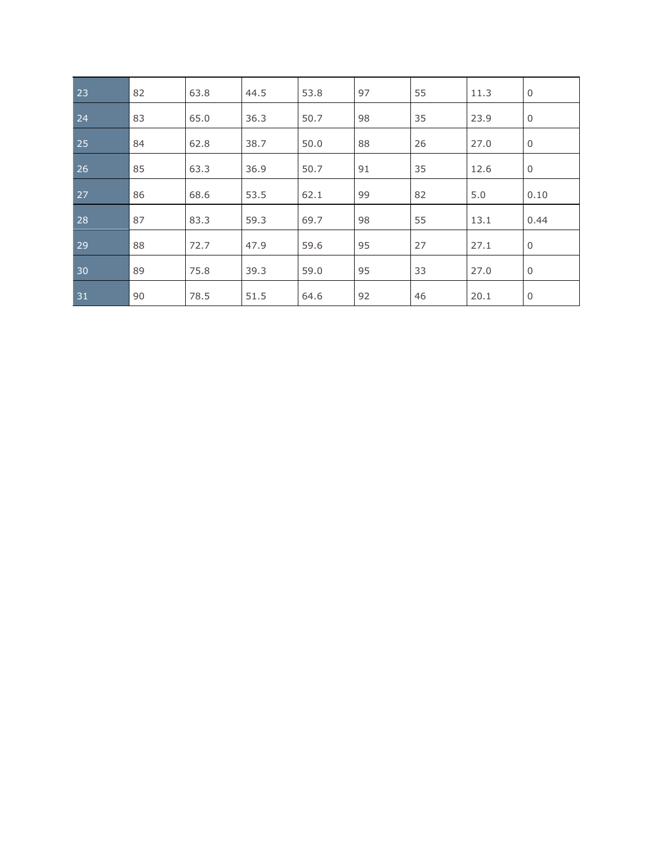| 23 | 82 | 63.8 | 44.5 | 53.8 | 97 | 55 | 11.3 | $\mathbf 0$ |
|----|----|------|------|------|----|----|------|-------------|
| 24 | 83 | 65.0 | 36.3 | 50.7 | 98 | 35 | 23.9 | $\mathbf 0$ |
| 25 | 84 | 62.8 | 38.7 | 50.0 | 88 | 26 | 27.0 | $\mathbf 0$ |
| 26 | 85 | 63.3 | 36.9 | 50.7 | 91 | 35 | 12.6 | $\mathbf 0$ |
| 27 | 86 | 68.6 | 53.5 | 62.1 | 99 | 82 | 5.0  | 0.10        |
| 28 | 87 | 83.3 | 59.3 | 69.7 | 98 | 55 | 13.1 | 0.44        |
| 29 | 88 | 72.7 | 47.9 | 59.6 | 95 | 27 | 27.1 | $\mathbf 0$ |
| 30 | 89 | 75.8 | 39.3 | 59.0 | 95 | 33 | 27.0 | $\mathbf 0$ |
| 31 | 90 | 78.5 | 51.5 | 64.6 | 92 | 46 | 20.1 | $\mathbf 0$ |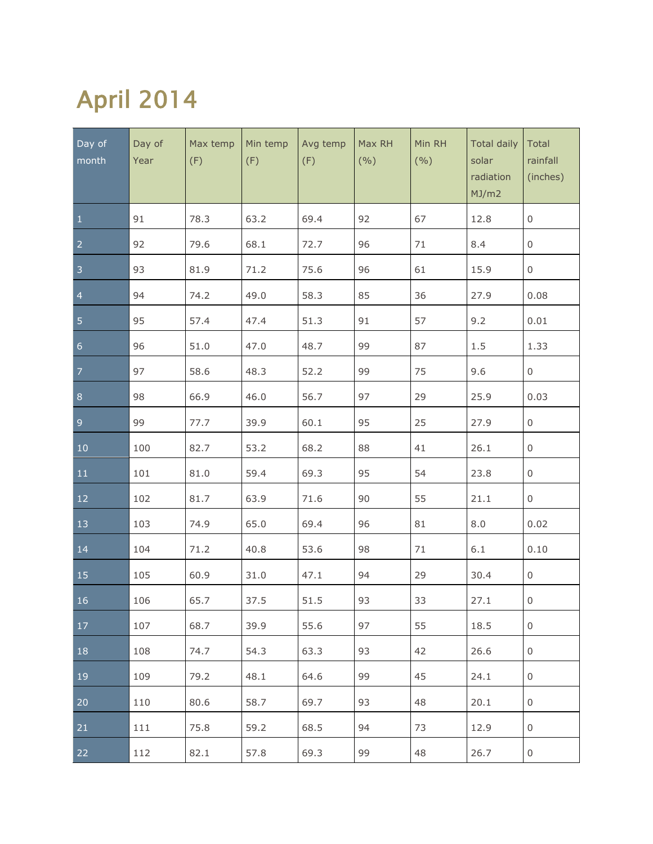# April 2014

| Day of<br>month | Day of<br>Year | Max temp<br>(F) | Min temp<br>(F) | Avg temp<br>(F) | Max RH<br>(9/0) | Min RH<br>(9/0) | <b>Total daily</b><br>solar<br>radiation<br>MJ/m2 | Total<br>rainfall<br>(inches) |
|-----------------|----------------|-----------------|-----------------|-----------------|-----------------|-----------------|---------------------------------------------------|-------------------------------|
| $\mathbf{1}$    | 91             | 78.3            | 63.2            | 69.4            | 92              | 67              | 12.8                                              | $\boldsymbol{0}$              |
| $\overline{2}$  | 92             | 79.6            | 68.1            | 72.7            | 96              | 71              | 8.4                                               | 0                             |
| $\overline{3}$  | 93             | 81.9            | 71.2            | 75.6            | 96              | 61              | 15.9                                              | 0                             |
| $\overline{4}$  | 94             | 74.2            | 49.0            | 58.3            | 85              | 36              | 27.9                                              | 0.08                          |
| $\overline{5}$  | 95             | 57.4            | 47.4            | 51.3            | 91              | 57              | 9.2                                               | 0.01                          |
| $\overline{6}$  | 96             | 51.0            | 47.0            | 48.7            | 99              | 87              | $1.5\,$                                           | 1.33                          |
| $\overline{7}$  | 97             | 58.6            | 48.3            | 52.2            | 99              | 75              | 9.6                                               | $\boldsymbol{0}$              |
| $\bf 8$         | 98             | 66.9            | 46.0            | 56.7            | 97              | 29              | 25.9                                              | 0.03                          |
| $\mathsf 9$     | 99             | 77.7            | 39.9            | 60.1            | 95              | 25              | 27.9                                              | $\boldsymbol{0}$              |
| $10\,$          | 100            | 82.7            | 53.2            | 68.2            | 88              | 41              | 26.1                                              | $\boldsymbol{0}$              |
| 11              | 101            | 81.0            | 59.4            | 69.3            | 95              | 54              | 23.8                                              | $\mathsf{O}$                  |
| 12              | 102            | 81.7            | 63.9            | 71.6            | 90              | 55              | 21.1                                              | $\mathsf{O}$                  |
| 13              | 103            | 74.9            | 65.0            | 69.4            | 96              | 81              | 8.0                                               | 0.02                          |
| 14              | 104            | 71.2            | 40.8            | 53.6            | 98              | 71              | 6.1                                               | 0.10                          |
| 15              | 105            | 60.9            | 31.0            | 47.1            | 94              | 29              | 30.4                                              | $\mathsf{O}$                  |
| 16              | 106            | 65.7            | 37.5            | 51.5            | 93              | 33              | 27.1                                              | $\mathsf{O}\xspace$           |
| 17              | 107            | 68.7            | 39.9            | 55.6            | 97              | 55              | 18.5                                              | 0                             |
| 18              | 108            | 74.7            | 54.3            | 63.3            | 93              | 42              | 26.6                                              | 0                             |
| 19              | 109            | 79.2            | 48.1            | 64.6            | 99              | 45              | 24.1                                              | 0                             |
| 20              | 110            | 80.6            | 58.7            | 69.7            | 93              | 48              | 20.1                                              | 0                             |
| 21              | 111            | 75.8            | 59.2            | 68.5            | 94              | 73              | 12.9                                              | 0                             |
| 22              | 112            | 82.1            | 57.8            | 69.3            | 99              | 48              | 26.7                                              | $\mathbf 0$                   |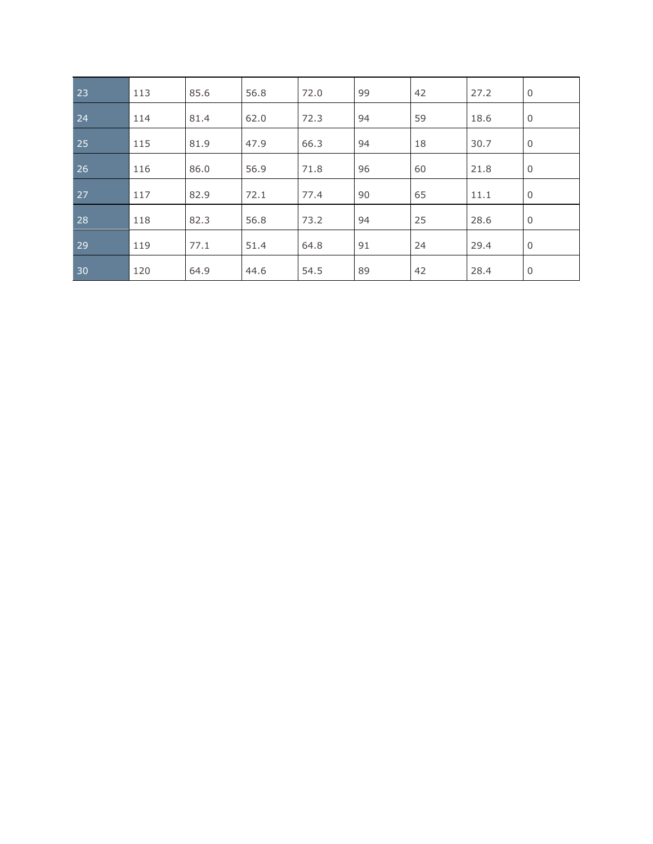| 23 | 113 | 85.6 | 56.8 | 72.0 | 99 | 42 | 27.2 | $\mathbf 0$ |
|----|-----|------|------|------|----|----|------|-------------|
| 24 | 114 | 81.4 | 62.0 | 72.3 | 94 | 59 | 18.6 | $\mathbf 0$ |
| 25 | 115 | 81.9 | 47.9 | 66.3 | 94 | 18 | 30.7 | $\mathbf 0$ |
| 26 | 116 | 86.0 | 56.9 | 71.8 | 96 | 60 | 21.8 | $\mathbf 0$ |
| 27 | 117 | 82.9 | 72.1 | 77.4 | 90 | 65 | 11.1 | $\mathbf 0$ |
| 28 | 118 | 82.3 | 56.8 | 73.2 | 94 | 25 | 28.6 | $\mathbf 0$ |
| 29 | 119 | 77.1 | 51.4 | 64.8 | 91 | 24 | 29.4 | $\mathbf 0$ |
| 30 | 120 | 64.9 | 44.6 | 54.5 | 89 | 42 | 28.4 | 0           |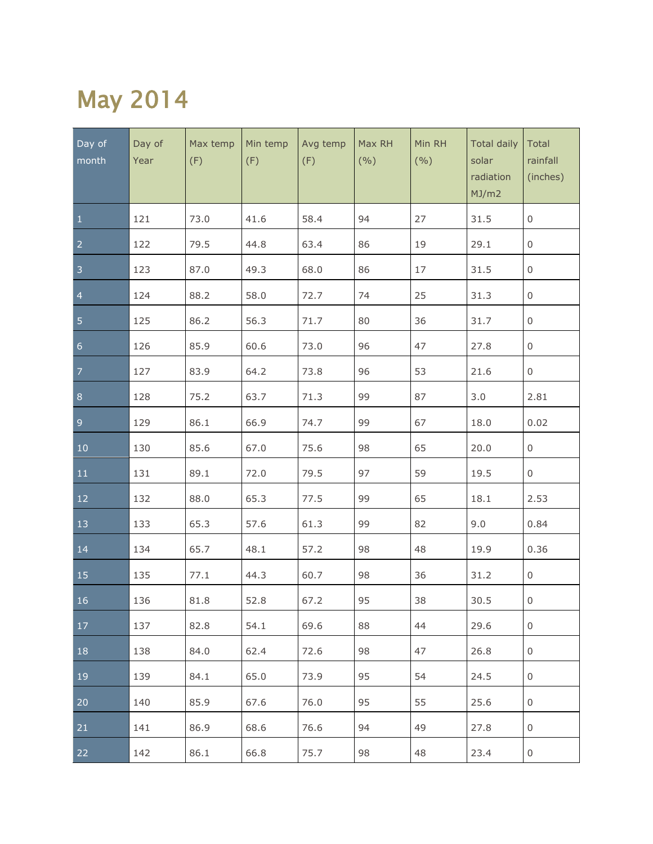### May 2014

| Day of<br>month  | Day of<br>Year | Max temp<br>(F) | Min temp<br>(F) | Avg temp<br>(F) | Max RH<br>(9/0) | Min RH<br>(9/0) | <b>Total daily</b><br>solar<br>radiation<br>MJ/m2 | Total<br>rainfall<br>(inches) |
|------------------|----------------|-----------------|-----------------|-----------------|-----------------|-----------------|---------------------------------------------------|-------------------------------|
| $\mathbf{1}$     | 121            | 73.0            | 41.6            | 58.4            | 94              | 27              | 31.5                                              | $\mathsf{O}\xspace$           |
| $\overline{2}$   | 122            | 79.5            | 44.8            | 63.4            | 86              | 19              | 29.1                                              | $\mathsf 0$                   |
| $\overline{3}$   | 123            | 87.0            | 49.3            | 68.0            | 86              | 17              | 31.5                                              | 0                             |
| $\overline{4}$   | 124            | 88.2            | 58.0            | 72.7            | 74              | 25              | 31.3                                              | $\mathsf 0$                   |
| $\overline{5}$   | 125            | 86.2            | 56.3            | 71.7            | 80              | 36              | 31.7                                              | $\boldsymbol{0}$              |
| $6 \overline{6}$ | 126            | 85.9            | 60.6            | 73.0            | 96              | 47              | 27.8                                              | $\boldsymbol{0}$              |
| $\overline{7}$   | 127            | 83.9            | 64.2            | 73.8            | 96              | 53              | 21.6                                              | $\mathsf{O}$                  |
| $\bf 8$          | 128            | 75.2            | 63.7            | 71.3            | 99              | 87              | 3.0                                               | 2.81                          |
| $\overline{9}$   | 129            | 86.1            | 66.9            | 74.7            | 99              | 67              | 18.0                                              | 0.02                          |
| $10\,$           | 130            | 85.6            | 67.0            | 75.6            | 98              | 65              | 20.0                                              | $\mathsf{O}$                  |
| 11               | 131            | 89.1            | 72.0            | 79.5            | 97              | 59              | 19.5                                              | $\mathsf{O}$                  |
| 12               | 132            | 88.0            | 65.3            | 77.5            | 99              | 65              | 18.1                                              | 2.53                          |
| 13               | 133            | 65.3            | 57.6            | 61.3            | 99              | 82              | 9.0                                               | 0.84                          |
| 14               | 134            | 65.7            | 48.1            | 57.2            | 98              | 48              | 19.9                                              | 0.36                          |
| $\overline{15}$  | 135            | 77.1            | 44.3            | 60.7            | 98              | 36              | 31.2                                              | $\mathsf{O}$                  |
| 16               | 136            | 81.8            | 52.8            | 67.2            | 95              | 38              | 30.5                                              | $\mathsf 0$                   |
| 17               | 137            | 82.8            | 54.1            | 69.6            | 88              | 44              | 29.6                                              | 0                             |
| 18               | 138            | 84.0            | 62.4            | 72.6            | 98              | 47              | 26.8                                              | $\,0\,$                       |
| 19               | 139            | 84.1            | 65.0            | 73.9            | 95              | 54              | 24.5                                              | $\,0\,$                       |
| 20               | 140            | 85.9            | 67.6            | 76.0            | 95              | 55              | 25.6                                              | $\,0\,$                       |
| 21               | 141            | 86.9            | 68.6            | 76.6            | 94              | 49              | 27.8                                              | $\,0\,$                       |
| 22               | 142            | 86.1            | 66.8            | 75.7            | 98              | 48              | 23.4                                              | $\,0\,$                       |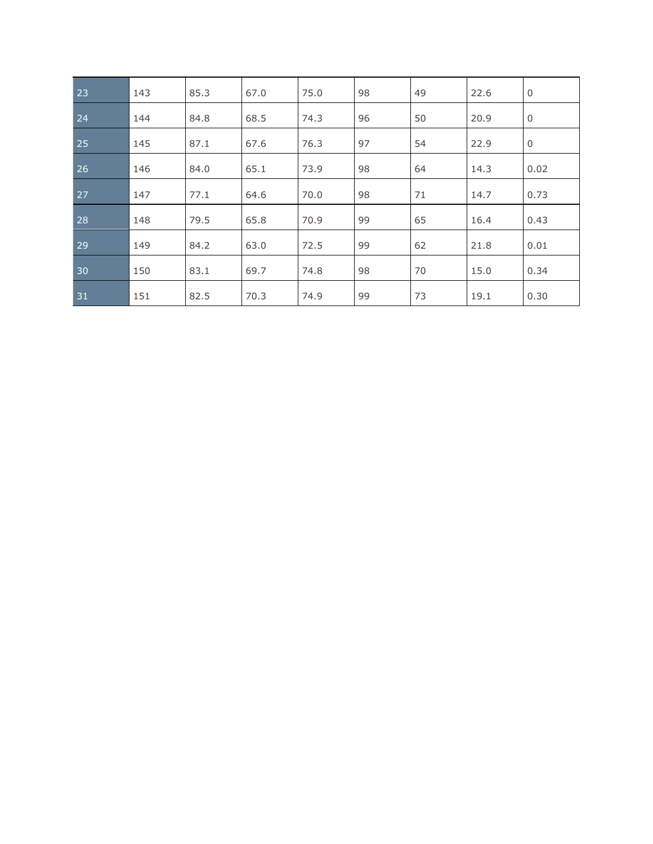| 23 | 143 | 85.3 | 67.0 | 75.0 | 98 | 49 | 22.6 | $\mathbf 0$ |
|----|-----|------|------|------|----|----|------|-------------|
| 24 | 144 | 84.8 | 68.5 | 74.3 | 96 | 50 | 20.9 | $\mathbf 0$ |
| 25 | 145 | 87.1 | 67.6 | 76.3 | 97 | 54 | 22.9 | $\mathbf 0$ |
| 26 | 146 | 84.0 | 65.1 | 73.9 | 98 | 64 | 14.3 | 0.02        |
| 27 | 147 | 77.1 | 64.6 | 70.0 | 98 | 71 | 14.7 | 0.73        |
| 28 | 148 | 79.5 | 65.8 | 70.9 | 99 | 65 | 16.4 | 0.43        |
| 29 | 149 | 84.2 | 63.0 | 72.5 | 99 | 62 | 21.8 | 0.01        |
| 30 | 150 | 83.1 | 69.7 | 74.8 | 98 | 70 | 15.0 | 0.34        |
| 31 | 151 | 82.5 | 70.3 | 74.9 | 99 | 73 | 19.1 | 0.30        |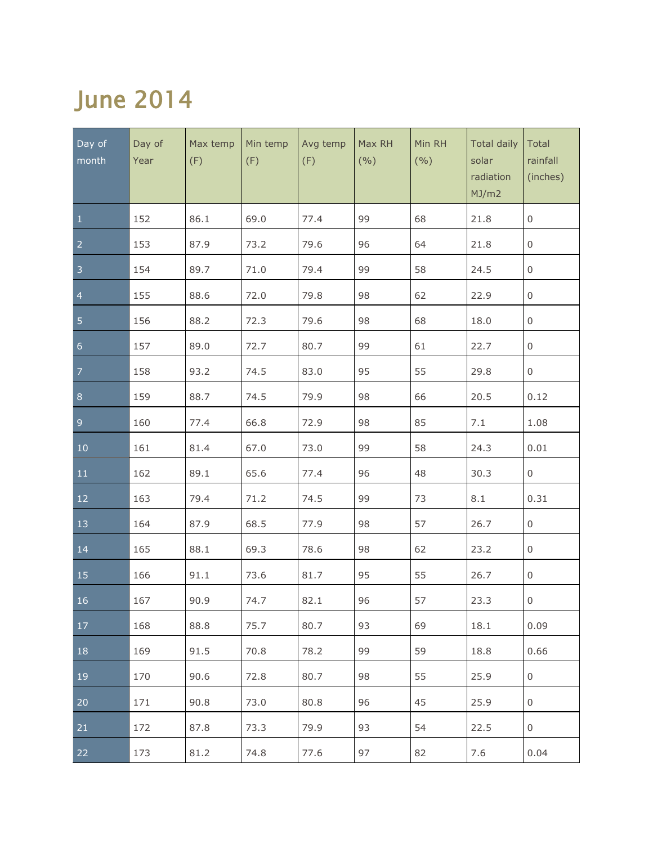## June 2014

| Day of<br>month  | Day of<br>Year | Max temp<br>(F) | Min temp<br>(F) | Avg temp<br>(F) | Max RH<br>(9/0) | Min RH<br>(9/0) | <b>Total daily</b><br>solar<br>radiation<br>MJ/m2 | Total<br>rainfall<br>(inches) |
|------------------|----------------|-----------------|-----------------|-----------------|-----------------|-----------------|---------------------------------------------------|-------------------------------|
| $\mathbf{1}$     | 152            | 86.1            | 69.0            | 77.4            | 99              | 68              | 21.8                                              | $\mathsf{O}\xspace$           |
| $\overline{2}$   | 153            | 87.9            | 73.2            | 79.6            | 96              | 64              | 21.8                                              | $\mathsf 0$                   |
| $\overline{3}$   | 154            | 89.7            | 71.0            | 79.4            | 99              | 58              | 24.5                                              | 0                             |
| $\overline{4}$   | 155            | 88.6            | 72.0            | 79.8            | 98              | 62              | 22.9                                              | $\mathsf 0$                   |
| $\overline{5}$   | 156            | 88.2            | 72.3            | 79.6            | 98              | 68              | 18.0                                              | $\boldsymbol{0}$              |
| $6 \overline{6}$ | 157            | 89.0            | 72.7            | 80.7            | 99              | 61              | 22.7                                              | $\boldsymbol{0}$              |
| $\overline{7}$   | 158            | 93.2            | 74.5            | 83.0            | 95              | 55              | 29.8                                              | $\mathsf{O}$                  |
| $\bf 8$          | 159            | 88.7            | 74.5            | 79.9            | 98              | 66              | 20.5                                              | 0.12                          |
| $\overline{9}$   | 160            | 77.4            | 66.8            | 72.9            | 98              | 85              | 7.1                                               | 1.08                          |
| $10\,$           | 161            | 81.4            | 67.0            | 73.0            | 99              | 58              | 24.3                                              | 0.01                          |
| 11               | 162            | 89.1            | 65.6            | 77.4            | 96              | 48              | 30.3                                              | $\mathsf{O}$                  |
| 12               | 163            | 79.4            | 71.2            | 74.5            | 99              | 73              | 8.1                                               | 0.31                          |
| 13               | 164            | 87.9            | 68.5            | 77.9            | 98              | 57              | 26.7                                              | $\mathsf{O}$                  |
| 14               | 165            | 88.1            | 69.3            | 78.6            | 98              | 62              | 23.2                                              | $\mathsf{O}$                  |
| 15               | 166            | 91.1            | 73.6            | 81.7            | 95              | 55              | 26.7                                              | $\mathsf{O}$                  |
| 16               | 167            | 90.9            | 74.7            | 82.1            | 96              | 57              | 23.3                                              | $\mathsf 0$                   |
| 17               | 168            | 88.8            | 75.7            | 80.7            | 93              | 69              | 18.1                                              | 0.09                          |
| 18               | 169            | 91.5            | 70.8            | 78.2            | 99              | 59              | 18.8                                              | 0.66                          |
| 19               | 170            | 90.6            | 72.8            | 80.7            | 98              | 55              | 25.9                                              | $\,0\,$                       |
| 20               | 171            | 90.8            | 73.0            | 80.8            | 96              | 45              | 25.9                                              | $\,0\,$                       |
| 21               | 172            | 87.8            | 73.3            | 79.9            | 93              | 54              | 22.5                                              | $\,0\,$                       |
| 22               | 173            | 81.2            | 74.8            | 77.6            | 97              | 82              | 7.6                                               | 0.04                          |

L.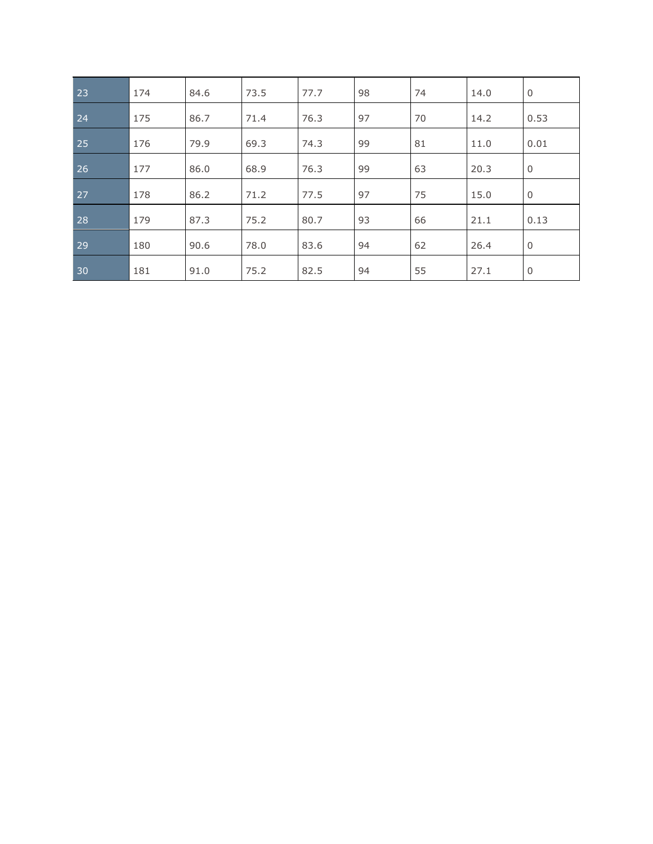| 23 | 174 | 84.6 | 73.5 | 77.7 | 98 | 74 | 14.0 | $\overline{0}$ |
|----|-----|------|------|------|----|----|------|----------------|
| 24 | 175 | 86.7 | 71.4 | 76.3 | 97 | 70 | 14.2 | 0.53           |
| 25 | 176 | 79.9 | 69.3 | 74.3 | 99 | 81 | 11.0 | 0.01           |
| 26 | 177 | 86.0 | 68.9 | 76.3 | 99 | 63 | 20.3 | $\mathbf 0$    |
| 27 | 178 | 86.2 | 71.2 | 77.5 | 97 | 75 | 15.0 | $\mathbf 0$    |
| 28 | 179 | 87.3 | 75.2 | 80.7 | 93 | 66 | 21.1 | 0.13           |
| 29 | 180 | 90.6 | 78.0 | 83.6 | 94 | 62 | 26.4 | $\mathbf 0$    |
| 30 | 181 | 91.0 | 75.2 | 82.5 | 94 | 55 | 27.1 | $\mathbf 0$    |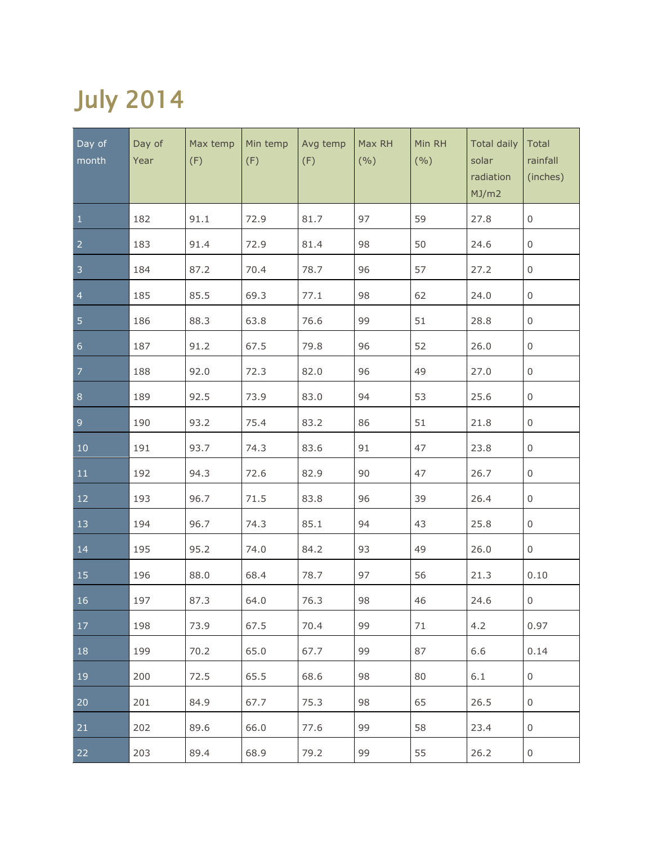# July 2014

| Day of<br>month  | Day of<br>Year | Max temp<br>(F) | Min temp<br>(F) | Avg temp<br>(F) | Max RH<br>(9/0) | Min RH<br>(9/0) | <b>Total daily</b><br>solar<br>radiation<br>MJ/m2 | Total<br>rainfall<br>(inches) |
|------------------|----------------|-----------------|-----------------|-----------------|-----------------|-----------------|---------------------------------------------------|-------------------------------|
| $\mathbf{1}$     | 182            | 91.1            | 72.9            | 81.7            | 97              | 59              | 27.8                                              | $\mathsf{O}\xspace$           |
| $\overline{2}$   | 183            | 91.4            | 72.9            | 81.4            | 98              | 50              | 24.6                                              | $\mathsf 0$                   |
| $\overline{3}$   | 184            | 87.2            | 70.4            | 78.7            | 96              | 57              | 27.2                                              | $\boldsymbol{0}$              |
| $\overline{4}$   | 185            | 85.5            | 69.3            | 77.1            | 98              | 62              | 24.0                                              | $\mathsf 0$                   |
| 5                | 186            | 88.3            | 63.8            | 76.6            | 99              | 51              | 28.8                                              | $\boldsymbol{0}$              |
| $6 \overline{6}$ | 187            | 91.2            | 67.5            | 79.8            | 96              | 52              | 26.0                                              | $\boldsymbol{0}$              |
| $\overline{7}$   | 188            | 92.0            | 72.3            | 82.0            | 96              | 49              | 27.0                                              | $\boldsymbol{0}$              |
| $\bf 8$          | 189            | 92.5            | 73.9            | 83.0            | 94              | 53              | 25.6                                              | $\mathsf{O}$                  |
| $\overline{9}$   | 190            | 93.2            | 75.4            | 83.2            | 86              | 51              | 21.8                                              | $\mathsf{O}$                  |
| $10\,$           | 191            | 93.7            | 74.3            | 83.6            | 91              | 47              | 23.8                                              | $\mathsf{O}$                  |
| 11               | 192            | 94.3            | 72.6            | 82.9            | 90              | 47              | 26.7                                              | $\mathsf{O}$                  |
| 12               | 193            | 96.7            | 71.5            | 83.8            | 96              | 39              | 26.4                                              | $\mathsf{O}$                  |
| 13               | 194            | 96.7            | 74.3            | 85.1            | 94              | 43              | 25.8                                              | $\mathsf{O}$                  |
| 14               | 195            | 95.2            | 74.0            | 84.2            | 93              | 49              | 26.0                                              | $\mathsf{O}$                  |
| 15               | 196            | 88.0            | 68.4            | 78.7            | 97              | 56              | 21.3                                              | 0.10                          |
| 16               | 197            | 87.3            | 64.0            | 76.3            | 98              | 46              | 24.6                                              | $\mathsf 0$                   |
| 17               | 198            | 73.9            | 67.5            | 70.4            | 99              | 71              | 4.2                                               | 0.97                          |
| 18               | 199            | 70.2            | 65.0            | 67.7            | 99              | 87              | 6.6                                               | 0.14                          |
| 19               | 200            | 72.5            | 65.5            | 68.6            | 98              | 80              | 6.1                                               | $\,0\,$                       |
| 20               | 201            | 84.9            | 67.7            | 75.3            | 98              | 65              | 26.5                                              | $\,0\,$                       |
| 21               | 202            | 89.6            | 66.0            | 77.6            | 99              | 58              | 23.4                                              | $\,0\,$                       |
| 22               | 203            | 89.4            | 68.9            | 79.2            | 99              | 55              | 26.2                                              | $\boldsymbol{0}$              |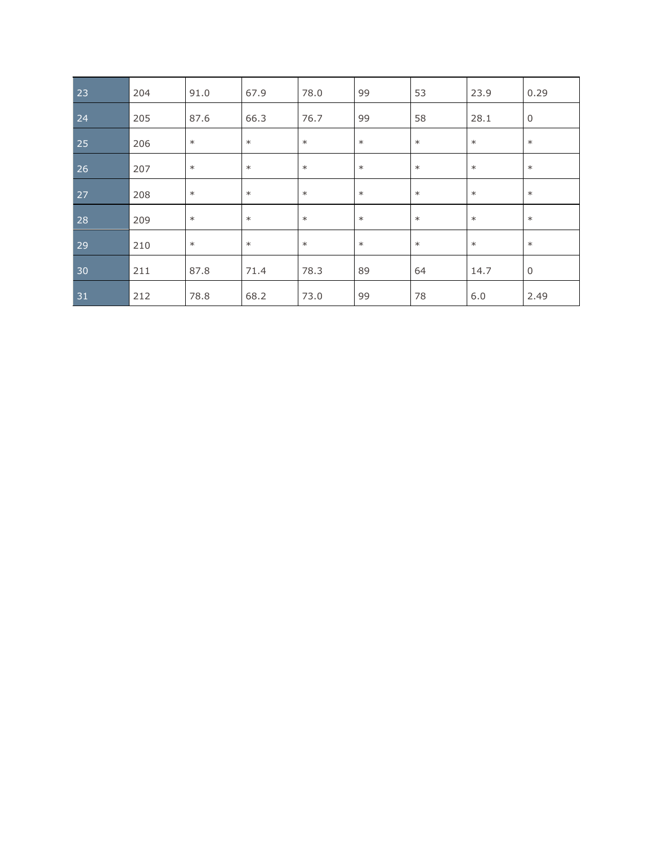| 23 | 204 | 91.0   | 67.9   | 78.0   | 99     | 53     | 23.9   | 0.29           |
|----|-----|--------|--------|--------|--------|--------|--------|----------------|
| 24 | 205 | 87.6   | 66.3   | 76.7   | 99     | 58     | 28.1   | $\overline{0}$ |
| 25 | 206 | $\ast$ | $\ast$ | $\ast$ | $\ast$ | $\ast$ | $\ast$ | $\ast$         |
| 26 | 207 | $\ast$ | $\ast$ | $\ast$ | $\ast$ | $\ast$ | $\ast$ | $\ast$         |
| 27 | 208 | $\ast$ | $\ast$ | $\ast$ | $\ast$ | $\ast$ | $\ast$ | $\ast$         |
| 28 | 209 | $\ast$ | $\ast$ | $\ast$ | $\ast$ | $\ast$ | $\ast$ | $\ast$         |
| 29 | 210 | $\ast$ | $\ast$ | $\ast$ | $\ast$ | $\ast$ | $\ast$ | $\ast$         |
| 30 | 211 | 87.8   | 71.4   | 78.3   | 89     | 64     | 14.7   | $\mathbf 0$    |
| 31 | 212 | 78.8   | 68.2   | 73.0   | 99     | 78     | 6.0    | 2.49           |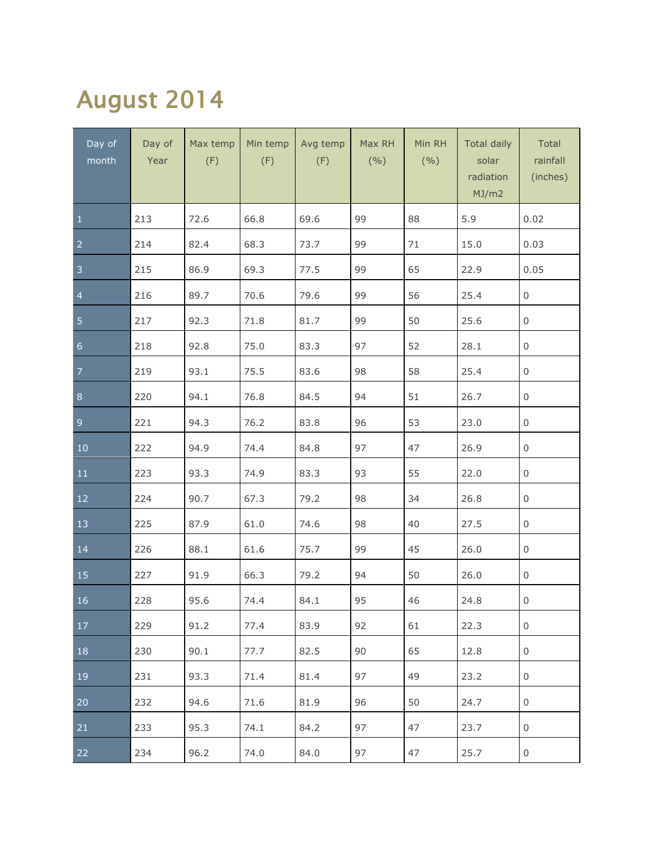## August 2014

| Day of<br>month | Day of<br>Year | Max temp<br>(F) | Min temp<br>(F) | Avg temp<br>(F) | Max RH<br>(9/0) | Min RH<br>(9/0) | <b>Total daily</b><br>solar<br>radiation<br>MJ/m2 | Total<br>rainfall<br>(inches) |
|-----------------|----------------|-----------------|-----------------|-----------------|-----------------|-----------------|---------------------------------------------------|-------------------------------|
| $\mathbf 1$     | 213            | 72.6            | 66.8            | 69.6            | 99              | 88              | 5.9                                               | 0.02                          |
| $\overline{2}$  | 214            | 82.4            | 68.3            | 73.7            | 99              | 71              | 15.0                                              | 0.03                          |
| $\sqrt{3}$      | 215            | 86.9            | 69.3            | 77.5            | 99              | 65              | 22.9                                              | 0.05                          |
| $\overline{4}$  | 216            | 89.7            | 70.6            | 79.6            | 99              | 56              | 25.4                                              | 0                             |
| $\overline{5}$  | 217            | 92.3            | 71.8            | 81.7            | 99              | 50              | 25.6                                              | 0                             |
| $\overline{6}$  | 218            | 92.8            | 75.0            | 83.3            | 97              | 52              | 28.1                                              | 0                             |
| $\overline{7}$  | 219            | 93.1            | 75.5            | 83.6            | 98              | 58              | 25.4                                              | 0                             |
| $\bf 8$         | 220            | 94.1            | 76.8            | 84.5            | 94              | 51              | 26.7                                              | 0                             |
| $\overline{9}$  | 221            | 94.3            | 76.2            | 83.8            | 96              | 53              | 23.0                                              | 0                             |
| $10\,$          | 222            | 94.9            | 74.4            | 84.8            | 97              | 47              | 26.9                                              | 0                             |
| 11              | 223            | 93.3            | 74.9            | 83.3            | 93              | 55              | 22.0                                              | 0                             |
| $12\,$          | 224            | 90.7            | 67.3            | 79.2            | 98              | 34              | 26.8                                              | 0                             |
| 13              | 225            | 87.9            | 61.0            | 74.6            | 98              | 40              | 27.5                                              | 0                             |
| 14              | 226            | 88.1            | 61.6            | 75.7            | 99              | 45              | 26.0                                              | 0                             |
| 15              | 227            | 91.9            | 66.3            | 79.2            | 94              | 50              | 26.0                                              | 0                             |
| 16              | 228            | 95.6            | 74.4            | 84.1            | 95              | 46              | 24.8                                              | 0                             |
| 17              | 229            | 91.2            | 77.4            | 83.9            | 92              | 61              | 22.3                                              | 0                             |
| 18              | 230            | 90.1            | 77.7            | 82.5            | 90              | 65              | 12.8                                              | 0                             |
| 19              | 231            | 93.3            | 71.4            | 81.4            | 97              | 49              | 23.2                                              | 0                             |
| 20              | 232            | 94.6            | 71.6            | 81.9            | 96              | 50              | 24.7                                              | 0                             |
| 21              | 233            | 95.3            | 74.1            | 84.2            | 97              | 47              | 23.7                                              | 0                             |
| 22              | 234            | 96.2            | 74.0            | 84.0            | 97              | 47              | 25.7                                              | 0                             |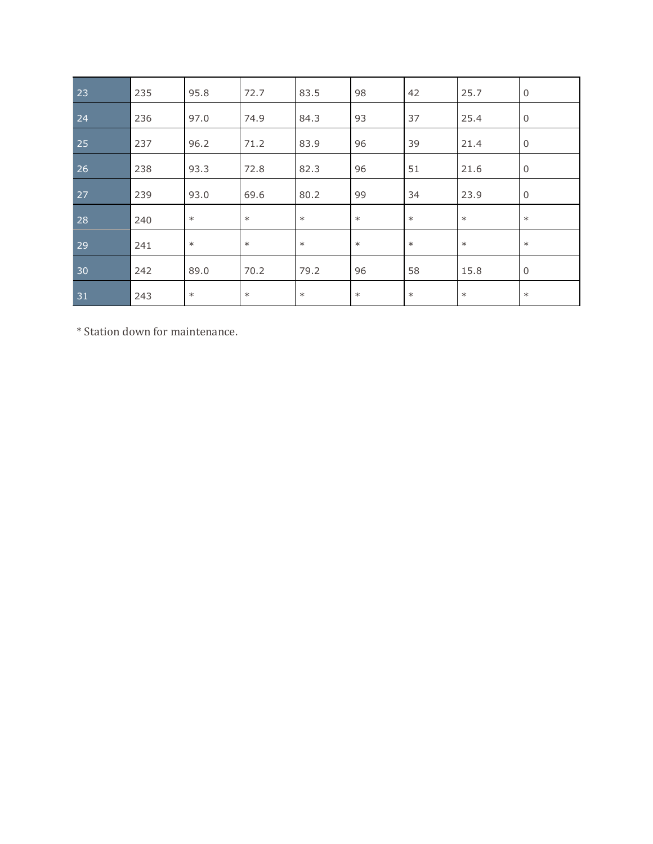| 23           | 235 | 95.8   | 72.7   | 83.5   | 98     | 42     | 25.7   | $\mathbf 0$ |
|--------------|-----|--------|--------|--------|--------|--------|--------|-------------|
| 24           | 236 | 97.0   | 74.9   | 84.3   | 93     | 37     | 25.4   | $\mathbf 0$ |
| 25           | 237 | 96.2   | 71.2   | 83.9   | 96     | 39     | 21.4   | $\mathbf 0$ |
| $ 26\rangle$ | 238 | 93.3   | 72.8   | 82.3   | 96     | 51     | 21.6   | $\mathbf 0$ |
| 27           | 239 | 93.0   | 69.6   | 80.2   | 99     | 34     | 23.9   | $\mathbf 0$ |
| 28           | 240 | $\ast$ | $\ast$ | $*$    | $\ast$ | $\ast$ | $\ast$ | $\ast$      |
| 29           | 241 | $\ast$ | $\ast$ | $\ast$ | $\ast$ | $\ast$ | $\ast$ | $\ast$      |
| 30           | 242 | 89.0   | 70.2   | 79.2   | 96     | 58     | 15.8   | $\mathbf 0$ |
| 31           | 243 | $\ast$ | $\ast$ | $\ast$ | $\ast$ | $\ast$ | $\ast$ | $\ast$      |

\* Station down for maintenance.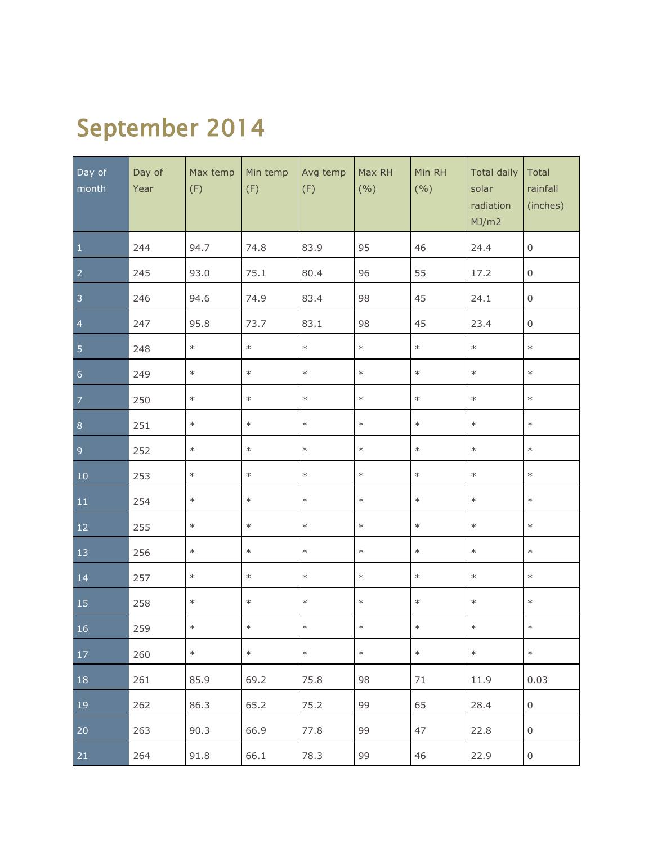## September 2014

| Day of<br>month | Day of<br>Year | Max temp<br>(F) | Min temp<br>(F) | Avg temp<br>(F) | Max RH<br>(9/0) | Min RH<br>(9/0) | <b>Total daily</b><br>solar<br>radiation<br>MJ/m2 | Total<br>rainfall<br>(inches) |
|-----------------|----------------|-----------------|-----------------|-----------------|-----------------|-----------------|---------------------------------------------------|-------------------------------|
| $1\,$           | 244            | 94.7            | 74.8            | 83.9            | 95              | 46              | 24.4                                              | $\mathsf{O}\xspace$           |
| $\overline{2}$  | 245            | 93.0            | 75.1            | 80.4            | 96              | 55              | 17.2                                              | $\mathbf 0$                   |
| $\mathsf 3$     | 246            | 94.6            | 74.9            | 83.4            | 98              | 45              | 24.1                                              | $\mathsf{O}\xspace$           |
| $\overline{4}$  | 247            | 95.8            | 73.7            | 83.1            | 98              | 45              | 23.4                                              | $\mathbf 0$                   |
| $\sqrt{5}$      | 248            | $\ast$          | $\ast$          | $\ast$          | $\ast$          | $\ast$          | $\ast$                                            | $\ast$                        |
| $\sqrt{6}$      | 249            | $\ast$          | $\ast$          | $\ast$          | $\ast$          | $\ast$          | $\ast$                                            | $\ast$                        |
| $\overline{7}$  | 250            | $\ast$          | $\ast$          | $\ast$          | $\ast$          | $\ast$          | $\ast$                                            | $\ast$                        |
| $\bf 8$         | 251            | $\ast$          | $\ast$          | $\ast$          | $\ast$          | $\ast$          | $\ast$                                            | $\ast$                        |
| $\overline{9}$  | 252            | $\ast$          | $\ast$          | $\ast$          | $\ast$          | $\ast$          | $\ast$                                            | $\ast$                        |
| $10\,$          | 253            | $\ast$          | $\ast$          | $\ast$          | $\ast$          | $\ast$          | $\ast$                                            | $\ast$                        |
| ${\bf 11}$      | 254            | $\ast$          | $\ast$          | $\ast$          | $\ast$          | $\ast$          | $\ast$                                            | $\ast$                        |
| $12\,$          | 255            | $\ast$          | $\ast$          | $\ast$          | $\ast$          | $\ast$          | $\ast$                                            | $\ast$                        |
| 13              | 256            | $\ast$          | $\ast$          | $\ast$          | $\ast$          | $\ast$          | $\ast$                                            | $\ast$                        |
| 14              | 257            | $\ast$          | $\ast$          | $\ast$          | $\ast$          | $\ast$          | $\ast$                                            | $\ast$                        |
| 15              | 258            | $\ast$          | $\ast$          | $\ast$          | $\ast$          | $\ast$          | $\ast$                                            | $\ast$                        |
| 16              | 259            | $\ast$          | $\ast$          | $\ast$          | $\ast$          | $\ast$          | $\ast$                                            | $\ast$                        |
| 17              | 260            | $\ast$          | $\ast$          | $\ast$          | $\ast$          | $\ast$          | $\ast$                                            | $\ast$                        |
| 18              | 261            | 85.9            | 69.2            | 75.8            | 98              | 71              | 11.9                                              | 0.03                          |
| 19              | 262            | 86.3            | 65.2            | 75.2            | 99              | 65              | 28.4                                              | $\boldsymbol{0}$              |
| 20              | 263            | 90.3            | 66.9            | 77.8            | 99              | 47              | 22.8                                              | $\boldsymbol{0}$              |
| 21              | 264            | 91.8            | 66.1            | 78.3            | 99              | 46              | 22.9                                              | $\boldsymbol{0}$              |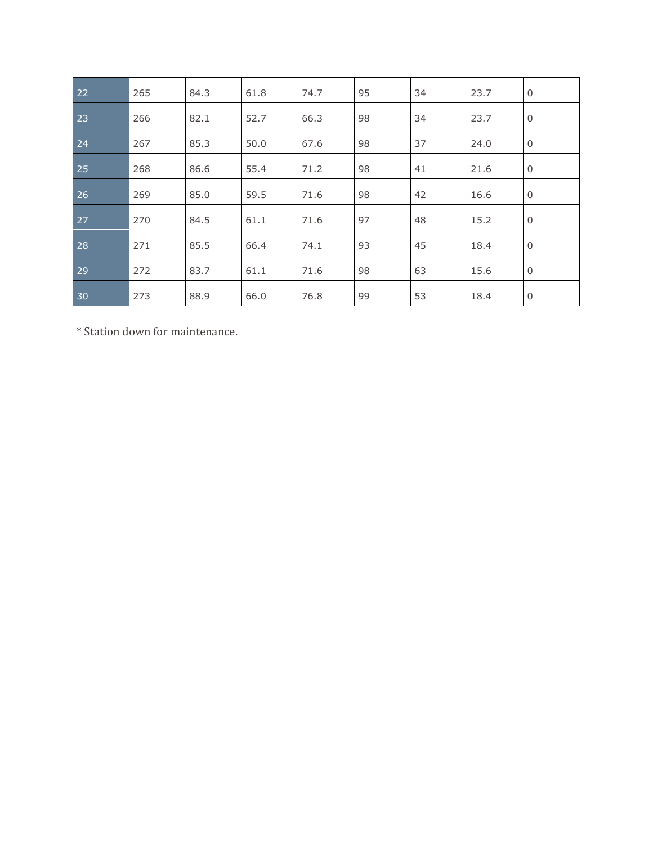| 22 | 265 | 84.3 | 61.8 | 74.7 | 95 | 34 | 23.7 | $\mathbf 0$ |
|----|-----|------|------|------|----|----|------|-------------|
| 23 | 266 | 82.1 | 52.7 | 66.3 | 98 | 34 | 23.7 | $\mathbf 0$ |
| 24 | 267 | 85.3 | 50.0 | 67.6 | 98 | 37 | 24.0 | $\mathbf 0$ |
| 25 | 268 | 86.6 | 55.4 | 71.2 | 98 | 41 | 21.6 | $\mathbf 0$ |
| 26 | 269 | 85.0 | 59.5 | 71.6 | 98 | 42 | 16.6 | $\mathbf 0$ |
| 27 | 270 | 84.5 | 61.1 | 71.6 | 97 | 48 | 15.2 | $\mathbf 0$ |
| 28 | 271 | 85.5 | 66.4 | 74.1 | 93 | 45 | 18.4 | $\mathbf 0$ |
| 29 | 272 | 83.7 | 61.1 | 71.6 | 98 | 63 | 15.6 | $\mathbf 0$ |
| 30 | 273 | 88.9 | 66.0 | 76.8 | 99 | 53 | 18.4 | $\mathbf 0$ |

\* Station down for maintenance.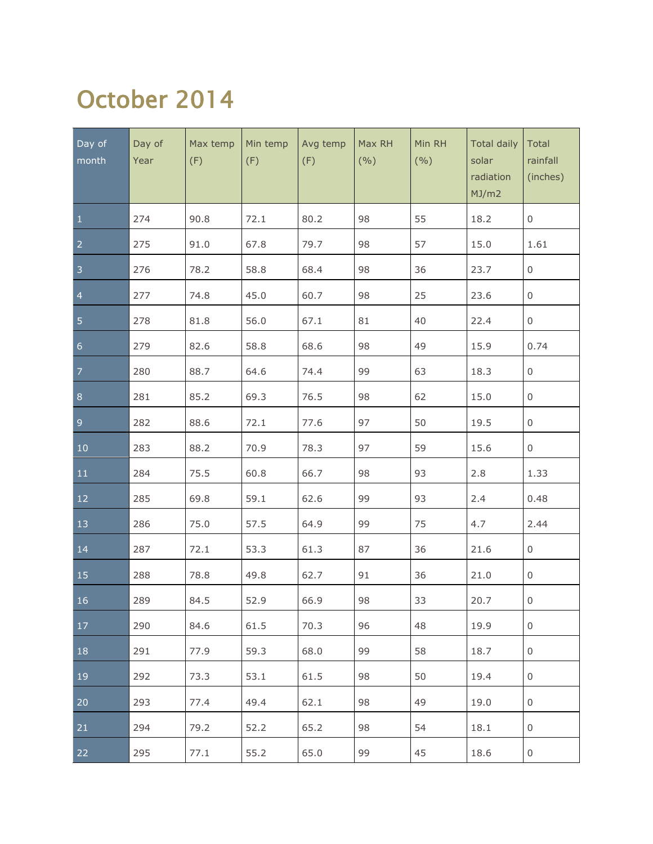#### October 2014

| Day of<br>month  | Day of<br>Year | Max temp<br>(F) | Min temp<br>(F) | Avg temp<br>(F) | Max RH<br>(9/0) | Min RH<br>(9/0) | <b>Total daily</b><br>solar<br>radiation<br>MJ/m2 | Total<br>rainfall<br>(inches) |
|------------------|----------------|-----------------|-----------------|-----------------|-----------------|-----------------|---------------------------------------------------|-------------------------------|
| $\mathbf{1}$     | 274            | 90.8            | 72.1            | 80.2            | 98              | 55              | 18.2                                              | $\boldsymbol{0}$              |
| $\overline{2}$   | 275            | 91.0            | 67.8            | 79.7            | 98              | 57              | 15.0                                              | 1.61                          |
| 3                | 276            | 78.2            | 58.8            | 68.4            | 98              | 36              | 23.7                                              | $\,0\,$                       |
| $\overline{4}$   | 277            | 74.8            | 45.0            | 60.7            | 98              | 25              | 23.6                                              | $\boldsymbol{0}$              |
| 5                | 278            | 81.8            | 56.0            | 67.1            | 81              | 40              | 22.4                                              | $\,0\,$                       |
| $6 \overline{6}$ | 279            | 82.6            | 58.8            | 68.6            | 98              | 49              | 15.9                                              | 0.74                          |
| $\overline{7}$   | 280            | 88.7            | 64.6            | 74.4            | 99              | 63              | 18.3                                              | $\,0\,$                       |
| $\,8\,$          | 281            | 85.2            | 69.3            | 76.5            | 98              | 62              | 15.0                                              | $\boldsymbol{0}$              |
| $\overline{9}$   | 282            | 88.6            | 72.1            | 77.6            | 97              | 50              | 19.5                                              | $\boldsymbol{0}$              |
| $10\,$           | 283            | 88.2            | 70.9            | 78.3            | 97              | 59              | 15.6                                              | $\boldsymbol{0}$              |
| 11               | 284            | 75.5            | 60.8            | 66.7            | 98              | 93              | 2.8                                               | 1.33                          |
| 12               | 285            | 69.8            | 59.1            | 62.6            | 99              | 93              | 2.4                                               | 0.48                          |
| 13               | 286            | 75.0            | 57.5            | 64.9            | 99              | 75              | 4.7                                               | 2.44                          |
| 14               | 287            | 72.1            | 53.3            | 61.3            | 87              | 36              | 21.6                                              | $\boldsymbol{0}$              |
| 15               | 288            | 78.8            | 49.8            | 62.7            | 91              | 36              | 21.0                                              | 0                             |
| $\overline{16}$  | 289            | 84.5            | 52.9            | 66.9            | 98              | 33              | 20.7                                              | $\mathsf 0$                   |
| 17               | 290            | 84.6            | 61.5            | 70.3            | 96              | 48              | 19.9                                              | 0                             |
| 18               | 291            | 77.9            | 59.3            | 68.0            | 99              | 58              | 18.7                                              | 0                             |
| 19               | 292            | 73.3            | 53.1            | 61.5            | 98              | 50              | 19.4                                              | 0                             |
| 20               | 293            | 77.4            | 49.4            | 62.1            | 98              | 49              | 19.0                                              | 0                             |
| 21               | 294            | 79.2            | 52.2            | 65.2            | 98              | 54              | 18.1                                              | 0                             |
| 22               | 295            | 77.1            | 55.2            | 65.0            | 99              | 45              | 18.6                                              | $\boldsymbol{0}$              |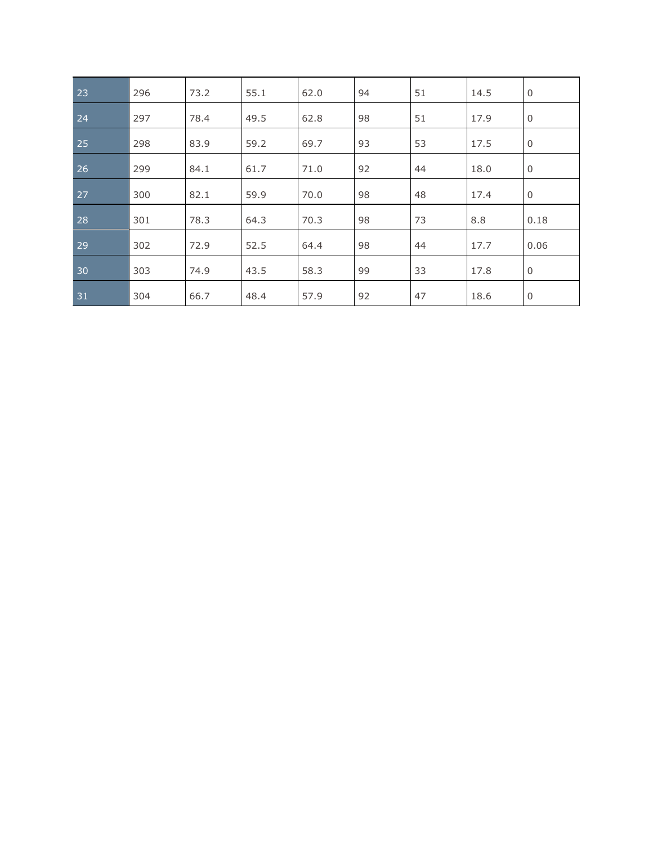| 23 | 296 | 73.2 | 55.1 | 62.0 | 94 | 51 | 14.5 | $\mathbf 0$ |
|----|-----|------|------|------|----|----|------|-------------|
| 24 | 297 | 78.4 | 49.5 | 62.8 | 98 | 51 | 17.9 | $\mathbf 0$ |
| 25 | 298 | 83.9 | 59.2 | 69.7 | 93 | 53 | 17.5 | $\mathbf 0$ |
| 26 | 299 | 84.1 | 61.7 | 71.0 | 92 | 44 | 18.0 | $\mathbf 0$ |
| 27 | 300 | 82.1 | 59.9 | 70.0 | 98 | 48 | 17.4 | $\mathbf 0$ |
| 28 | 301 | 78.3 | 64.3 | 70.3 | 98 | 73 | 8.8  | 0.18        |
| 29 | 302 | 72.9 | 52.5 | 64.4 | 98 | 44 | 17.7 | 0.06        |
| 30 | 303 | 74.9 | 43.5 | 58.3 | 99 | 33 | 17.8 | $\mathbf 0$ |
| 31 | 304 | 66.7 | 48.4 | 57.9 | 92 | 47 | 18.6 | $\mathbf 0$ |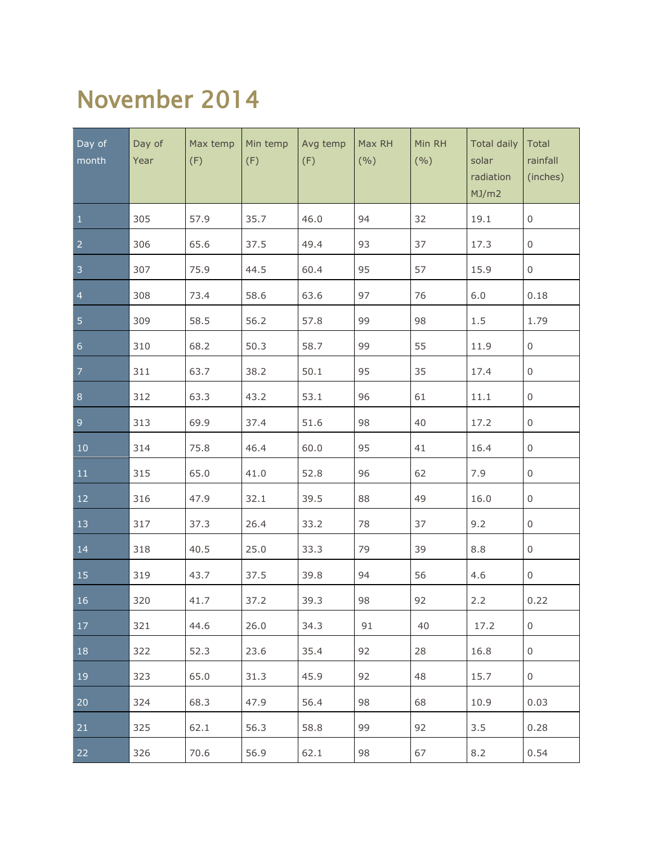#### November 2014

| Day of<br>month | Day of<br>Year | Max temp<br>(F) | Min temp<br>(F) | Avg temp<br>(F) | Max RH<br>(9/0) | Min RH<br>(9/0) | <b>Total daily</b><br>solar<br>radiation<br>MJ/m2 | Total<br>rainfall<br>(inches) |
|-----------------|----------------|-----------------|-----------------|-----------------|-----------------|-----------------|---------------------------------------------------|-------------------------------|
| $\mathbf{1}$    | 305            | 57.9            | 35.7            | 46.0            | 94              | 32              | 19.1                                              | 0                             |
| $\overline{2}$  | 306            | 65.6            | 37.5            | 49.4            | 93              | 37              | 17.3                                              | 0                             |
| $\sqrt{3}$      | 307            | 75.9            | 44.5            | 60.4            | 95              | 57              | 15.9                                              | 0                             |
| $\overline{4}$  | 308            | 73.4            | 58.6            | 63.6            | 97              | 76              | 6.0                                               | 0.18                          |
| 5               | 309            | 58.5            | 56.2            | 57.8            | 99              | 98              | 1.5                                               | 1.79                          |
| $\overline{6}$  | 310            | 68.2            | 50.3            | 58.7            | 99              | 55              | 11.9                                              | $\mathsf{O}\xspace$           |
| $\overline{7}$  | 311            | 63.7            | 38.2            | 50.1            | 95              | 35              | 17.4                                              | 0                             |
| $\bf 8$         | 312            | 63.3            | 43.2            | 53.1            | 96              | 61              | 11.1                                              | $\boldsymbol{0}$              |
| $\overline{9}$  | 313            | 69.9            | 37.4            | 51.6            | 98              | 40              | 17.2                                              | $\boldsymbol{0}$              |
| $10$            | 314            | 75.8            | 46.4            | 60.0            | 95              | 41              | 16.4                                              | $\boldsymbol{0}$              |
| 11              | 315            | 65.0            | 41.0            | 52.8            | 96              | 62              | 7.9                                               | $\boldsymbol{0}$              |
| 12              | 316            | 47.9            | 32.1            | 39.5            | 88              | 49              | 16.0                                              | $\boldsymbol{0}$              |
| 13              | 317            | 37.3            | 26.4            | 33.2            | 78              | 37              | 9.2                                               | $\boldsymbol{0}$              |
| 14              | 318            | 40.5            | 25.0            | 33.3            | 79              | 39              | 8.8                                               | $\boldsymbol{0}$              |
| 15              | 319            | 43.7            | 37.5            | 39.8            | 94              | 56              | 4.6                                               | $\boldsymbol{0}$              |
| 16              | 320            | 41.7            | 37.2            | 39.3            | 98              | 92              | 2.2                                               | 0.22                          |
| 17              | 321            | 44.6            | 26.0            | 34.3            | 91              | 40              | 17.2                                              | 0                             |
| 18              | 322            | 52.3            | 23.6            | 35.4            | 92              | 28              | 16.8                                              | 0                             |
| 19              | 323            | 65.0            | 31.3            | 45.9            | 92              | 48              | 15.7                                              | 0                             |
| 20              | 324            | 68.3            | 47.9            | 56.4            | 98              | 68              | 10.9                                              | 0.03                          |
| 21              | 325            | 62.1            | 56.3            | 58.8            | 99              | 92              | 3.5                                               | 0.28                          |
| 22              | 326            | 70.6            | 56.9            | 62.1            | 98              | 67              | 8.2                                               | 0.54                          |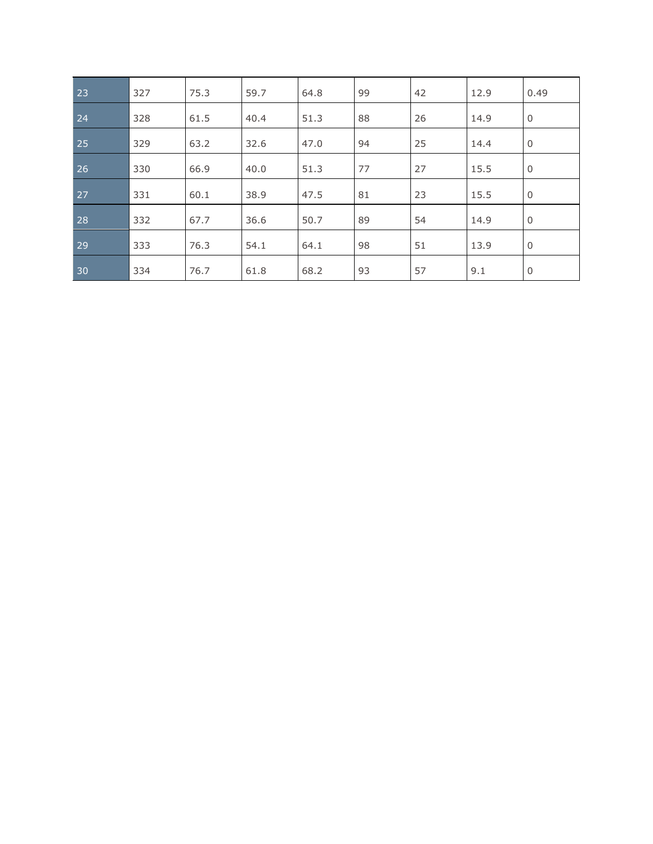| 23 | 327 | 75.3 | 59.7 | 64.8 | 99 | 42 | 12.9 | 0.49        |
|----|-----|------|------|------|----|----|------|-------------|
| 24 | 328 | 61.5 | 40.4 | 51.3 | 88 | 26 | 14.9 | $\mathbf 0$ |
| 25 | 329 | 63.2 | 32.6 | 47.0 | 94 | 25 | 14.4 | $\mathbf 0$ |
| 26 | 330 | 66.9 | 40.0 | 51.3 | 77 | 27 | 15.5 | $\mathbf 0$ |
| 27 | 331 | 60.1 | 38.9 | 47.5 | 81 | 23 | 15.5 | $\mathbf 0$ |
| 28 | 332 | 67.7 | 36.6 | 50.7 | 89 | 54 | 14.9 | $\mathbf 0$ |
| 29 | 333 | 76.3 | 54.1 | 64.1 | 98 | 51 | 13.9 | $\mathbf 0$ |
| 30 | 334 | 76.7 | 61.8 | 68.2 | 93 | 57 | 9.1  | 0           |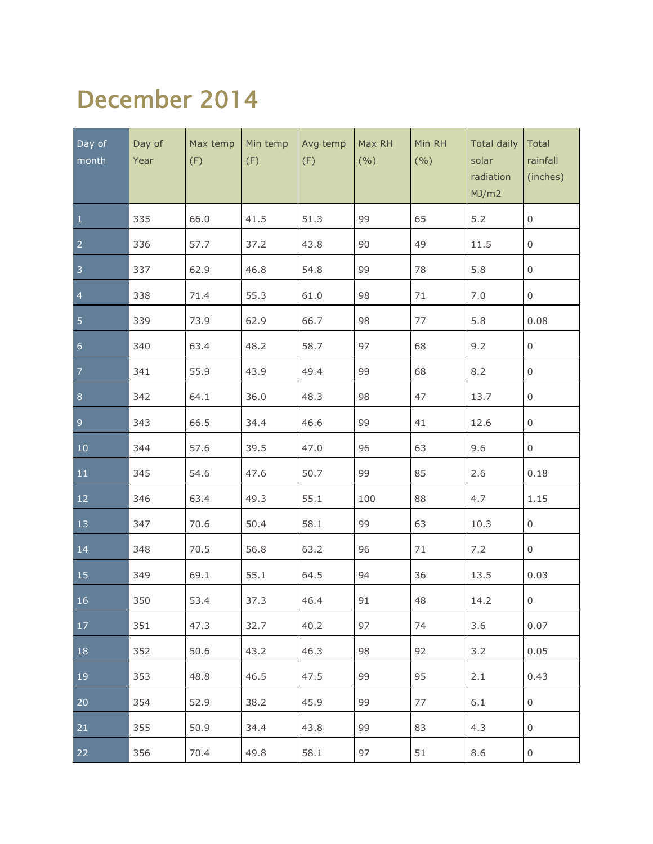#### December 2014

| Day of<br>month | Day of<br>Year | Max temp<br>(F) | Min temp<br>(F) | Avg temp<br>(F) | Max RH<br>(9/0) | Min RH<br>(9/0) | <b>Total daily</b><br>solar<br>radiation<br>MJ/m2 | Total<br>rainfall<br>(inches) |
|-----------------|----------------|-----------------|-----------------|-----------------|-----------------|-----------------|---------------------------------------------------|-------------------------------|
| $\mathbf{1}$    | 335            | 66.0            | 41.5            | 51.3            | 99              | 65              | 5.2                                               | 0                             |
| $\overline{a}$  | 336            | 57.7            | 37.2            | 43.8            | 90              | 49              | 11.5                                              | 0                             |
| 3               | 337            | 62.9            | 46.8            | 54.8            | 99              | 78              | 5.8                                               | 0                             |
| $\overline{4}$  | 338            | 71.4            | 55.3            | 61.0            | 98              | 71              | 7.0                                               | 0                             |
| 5               | 339            | 73.9            | 62.9            | 66.7            | 98              | 77              | 5.8                                               | 0.08                          |
| $\overline{6}$  | 340            | 63.4            | 48.2            | 58.7            | 97              | 68              | 9.2                                               | 0                             |
| $\overline{7}$  | 341            | 55.9            | 43.9            | 49.4            | 99              | 68              | 8.2                                               | $\boldsymbol{0}$              |
| $\bf 8$         | 342            | 64.1            | 36.0            | 48.3            | 98              | 47              | 13.7                                              | 0                             |
| $\overline{9}$  | 343            | 66.5            | 34.4            | 46.6            | 99              | 41              | 12.6                                              | $\boldsymbol{0}$              |
| $10\,$          | 344            | 57.6            | 39.5            | 47.0            | 96              | 63              | 9.6                                               | 0                             |
| 11              | 345            | 54.6            | 47.6            | 50.7            | 99              | 85              | 2.6                                               | 0.18                          |
| $12\,$          | 346            | 63.4            | 49.3            | 55.1            | 100             | 88              | 4.7                                               | 1.15                          |
| 13              | 347            | 70.6            | 50.4            | 58.1            | 99              | 63              | 10.3                                              | $\mathsf{O}$                  |
| 14              | 348            | 70.5            | 56.8            | 63.2            | 96              | 71              | 7.2                                               | $\mathsf{O}$                  |
| 15              | 349            | 69.1            | 55.1            | 64.5            | 94              | 36              | 13.5                                              | 0.03                          |
| 16              | 350            | 53.4            | 37.3            | 46.4            | 91              | 48              | 14.2                                              | $\mathsf 0$                   |
| 17              | 351            | 47.3            | 32.7            | 40.2            | 97              | 74              | 3.6                                               | 0.07                          |
| 18              | 352            | 50.6            | 43.2            | 46.3            | 98              | 92              | 3.2                                               | 0.05                          |
| 19              | 353            | 48.8            | 46.5            | 47.5            | 99              | 95              | 2.1                                               | 0.43                          |
| 20              | 354            | 52.9            | 38.2            | 45.9            | 99              | 77              | 6.1                                               | 0                             |
| 21              | 355            | 50.9            | 34.4            | 43.8            | 99              | 83              | 4.3                                               | 0                             |
| 22              | 356            | 70.4            | 49.8            | 58.1            | 97              | 51              | 8.6                                               | $\boldsymbol{0}$              |